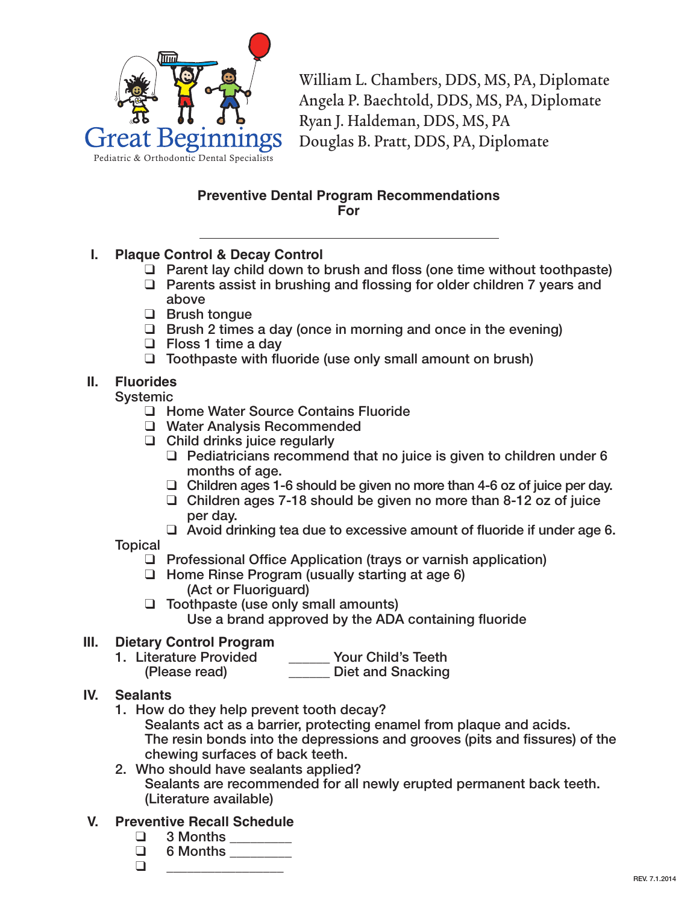

William L. Chambers, DDS, MS, PA, Diplomate Angela P. Baechtold, DDS, MS, PA, Diplomate Ryan J. Haldeman, DDS, MS, PA Douglas B. Pratt, DDS, PA, Diplomate

## **Preventive Dental Program Recommendations For**

- **I. Plaque Control & Decay Control**
	- $\Box$  Parent lay child down to brush and floss (one time without toothpaste)
	- $\Box$  Parents assist in brushing and flossing for older children 7 years and above
	- $\Box$  Brush tongue
	- $\Box$  Brush 2 times a day (once in morning and once in the evening)
	- $\Box$  Floss 1 time a day
	- $\Box$  Toothpaste with fluoride (use only small amount on brush)

# **II. Fluorides**

**Systemic** 

- □ Home Water Source Contains Fluoride
- □ Water Analysis Recommended
- $\Box$  Child drinks juice regularly
	- $\Box$  Pediatricians recommend that no juice is given to children under 6 months of age.
	- $\Box$  Children ages 1-6 should be given no more than 4-6 oz of juice per day.
	- $\Box$  Children ages 7-18 should be given no more than 8-12 oz of juice per day.
	- $\Box$  Avoid drinking tea due to excessive amount of fluoride if under age 6.

**Topical** 

- $\Box$  Professional Office Application (trays or varnish application)
- $\Box$  Home Rinse Program (usually starting at age 6) (Act or Fluoriguard)
- $\Box$  Toothpaste (use only small amounts)

Use a brand approved by the ADA containing fluoride

## **III. Dietary Control Program**

- 1. Literature Provided \_\_\_\_\_\_ Your Child's Teeth
	- (Please read) \_\_\_\_\_\_ Diet and Snacking
- **IV. Sealants**
	- 1. How do they help prevent tooth decay?
		- Sealants act as a barrier, protecting enamel from plaque and acids. The resin bonds into the depressions and grooves (pits and fissures) of the chewing surfaces of back teeth.
	- 2. Who should have sealants applied? Sealants are recommended for all newly erupted permanent back teeth. (Literature available)
- **V. Preventive Recall Schedule**
	- q 3 Months \_\_\_\_\_\_\_\_\_
	- $\Box$  6 Months
	- q \_\_\_\_\_\_\_\_\_\_\_\_\_\_\_\_\_